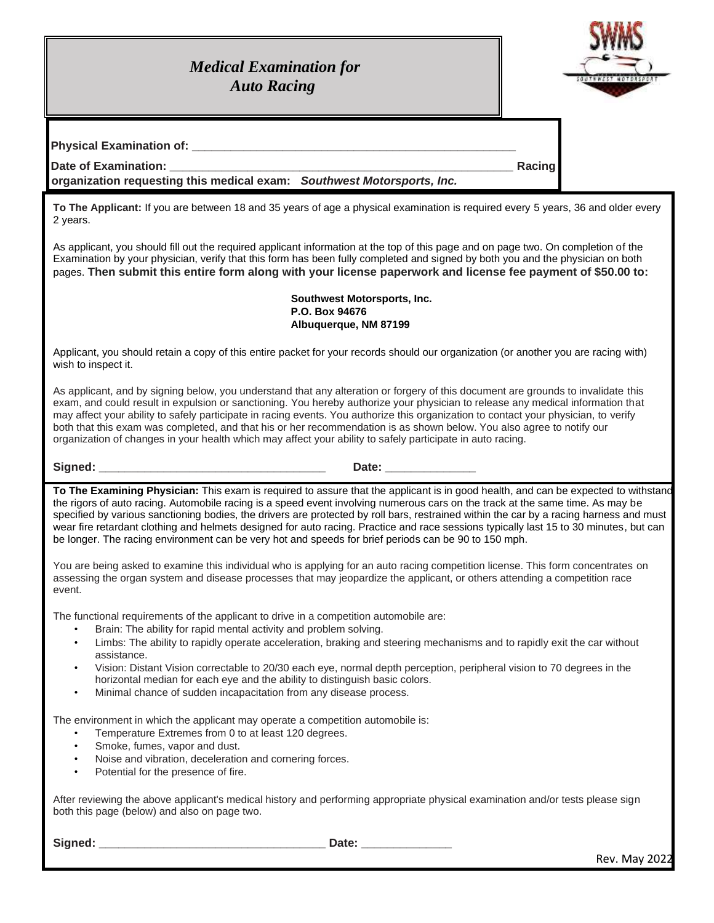## *Medical Examination for Auto Racing*



**Physical Examination of: with the contract of the contract of the contract of the contract of the contract of the contract of the contract of the contract of the contract of the contract of the contract of the contract** 

**Date of Examination: \_\_\_\_\_\_\_\_\_\_\_\_\_\_\_\_\_\_\_\_\_\_\_\_\_\_\_\_\_\_\_\_\_\_\_\_\_\_\_\_\_\_\_\_\_\_\_\_\_\_\_\_\_ Racing** 

**organization requesting this medical exam:** *Southwest Motorsports, Inc.*

**To The Applicant:** If you are between 18 and 35 years of age a physical examination is required every 5 years, 36 and older every 2 years.

As applicant, you should fill out the required applicant information at the top of this page and on page two. On completion of the Examination by your physician, verify that this form has been fully completed and signed by both you and the physician on both pages. **Then submit this entire form along with your license paperwork and license fee payment of \$50.00 to:**

> **Southwest Motorsports, Inc. P.O. Box 94676 Albuquerque, NM 87199**

Applicant, you should retain a copy of this entire packet for your records should our organization (or another you are racing with) wish to inspect it.

As applicant, and by signing below, you understand that any alteration or forgery of this document are grounds to invalidate this exam, and could result in expulsion or sanctioning. You hereby authorize your physician to release any medical information that may affect your ability to safely participate in racing events. You authorize this organization to contact your physician, to verify both that this exam was completed, and that his or her recommendation is as shown below. You also agree to notify our organization of changes in your health which may affect your ability to safely participate in auto racing.

**Signed: \_\_\_\_\_\_\_\_\_\_\_\_\_\_\_\_\_\_\_\_\_\_\_\_\_\_\_\_\_\_\_\_\_\_\_ Date: \_\_\_\_\_\_\_\_\_\_\_\_\_\_**

**To The Examining Physician:** This exam is required to assure that the applicant is in good health, and can be expected to withstand the rigors of auto racing. Automobile racing is a speed event involving numerous cars on the track at the same time. As may be specified by various sanctioning bodies, the drivers are protected by roll bars, restrained within the car by a racing harness and must wear fire retardant clothing and helmets designed for auto racing. Practice and race sessions typically last 15 to 30 minutes, but can be longer. The racing environment can be very hot and speeds for brief periods can be 90 to 150 mph.

You are being asked to examine this individual who is applying for an auto racing competition license. This form concentrates on assessing the organ system and disease processes that may jeopardize the applicant, or others attending a competition race event.

The functional requirements of the applicant to drive in a competition automobile are:

- Brain: The ability for rapid mental activity and problem solving.
- Limbs: The ability to rapidly operate acceleration, braking and steering mechanisms and to rapidly exit the car without assistance.
- Vision: Distant Vision correctable to 20/30 each eye, normal depth perception, peripheral vision to 70 degrees in the horizontal median for each eye and the ability to distinguish basic colors.
- Minimal chance of sudden incapacitation from any disease process.

The environment in which the applicant may operate a competition automobile is:

- Temperature Extremes from 0 to at least 120 degrees.
- Smoke, fumes, vapor and dust.
- Noise and vibration, deceleration and cornering forces.
- Potential for the presence of fire.

After reviewing the above applicant's medical history and performing appropriate physical examination and/or tests please sign both this page (below) and also on page two.

**Signed: \_\_\_\_\_\_\_\_\_\_\_\_\_\_\_\_\_\_\_\_\_\_\_\_\_\_\_\_\_\_\_\_\_\_\_ Date: \_\_\_\_\_\_\_\_\_\_\_\_\_\_**